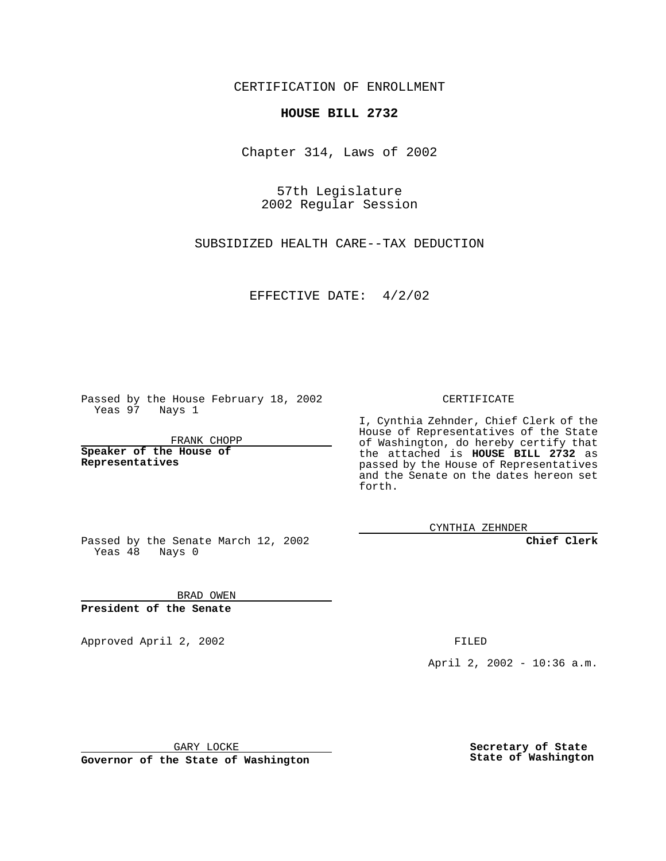CERTIFICATION OF ENROLLMENT

## **HOUSE BILL 2732**

Chapter 314, Laws of 2002

57th Legislature 2002 Regular Session

SUBSIDIZED HEALTH CARE--TAX DEDUCTION

EFFECTIVE DATE: 4/2/02

Passed by the House February 18, 2002 Yeas 97 Nays 1

FRANK CHOPP

**Speaker of the House of Representatives**

CERTIFICATE

I, Cynthia Zehnder, Chief Clerk of the House of Representatives of the State of Washington, do hereby certify that the attached is **HOUSE BILL 2732** as passed by the House of Representatives and the Senate on the dates hereon set forth.

CYNTHIA ZEHNDER

**Chief Clerk**

Passed by the Senate March 12, 2002 Yeas  $48$  Nays 0

BRAD OWEN **President of the Senate**

Approved April 2, 2002 **FILED** 

April 2, 2002 - 10:36 a.m.

GARY LOCKE

**Governor of the State of Washington**

**Secretary of State State of Washington**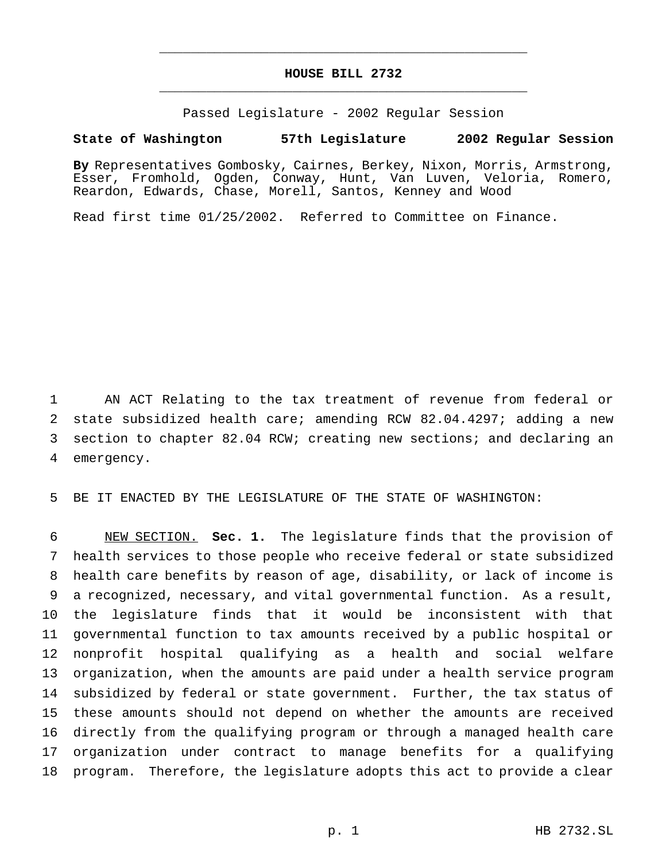## **HOUSE BILL 2732** \_\_\_\_\_\_\_\_\_\_\_\_\_\_\_\_\_\_\_\_\_\_\_\_\_\_\_\_\_\_\_\_\_\_\_\_\_\_\_\_\_\_\_\_\_\_\_

\_\_\_\_\_\_\_\_\_\_\_\_\_\_\_\_\_\_\_\_\_\_\_\_\_\_\_\_\_\_\_\_\_\_\_\_\_\_\_\_\_\_\_\_\_\_\_

Passed Legislature - 2002 Regular Session

## **State of Washington 57th Legislature 2002 Regular Session**

**By** Representatives Gombosky, Cairnes, Berkey, Nixon, Morris, Armstrong, Esser, Fromhold, Ogden, Conway, Hunt, Van Luven, Veloria, Romero, Reardon, Edwards, Chase, Morell, Santos, Kenney and Wood

Read first time 01/25/2002. Referred to Committee on Finance.

 AN ACT Relating to the tax treatment of revenue from federal or state subsidized health care; amending RCW 82.04.4297; adding a new section to chapter 82.04 RCW; creating new sections; and declaring an emergency.

BE IT ENACTED BY THE LEGISLATURE OF THE STATE OF WASHINGTON:

 NEW SECTION. **Sec. 1.** The legislature finds that the provision of health services to those people who receive federal or state subsidized health care benefits by reason of age, disability, or lack of income is a recognized, necessary, and vital governmental function. As a result, the legislature finds that it would be inconsistent with that governmental function to tax amounts received by a public hospital or nonprofit hospital qualifying as a health and social welfare organization, when the amounts are paid under a health service program subsidized by federal or state government. Further, the tax status of these amounts should not depend on whether the amounts are received directly from the qualifying program or through a managed health care organization under contract to manage benefits for a qualifying program. Therefore, the legislature adopts this act to provide a clear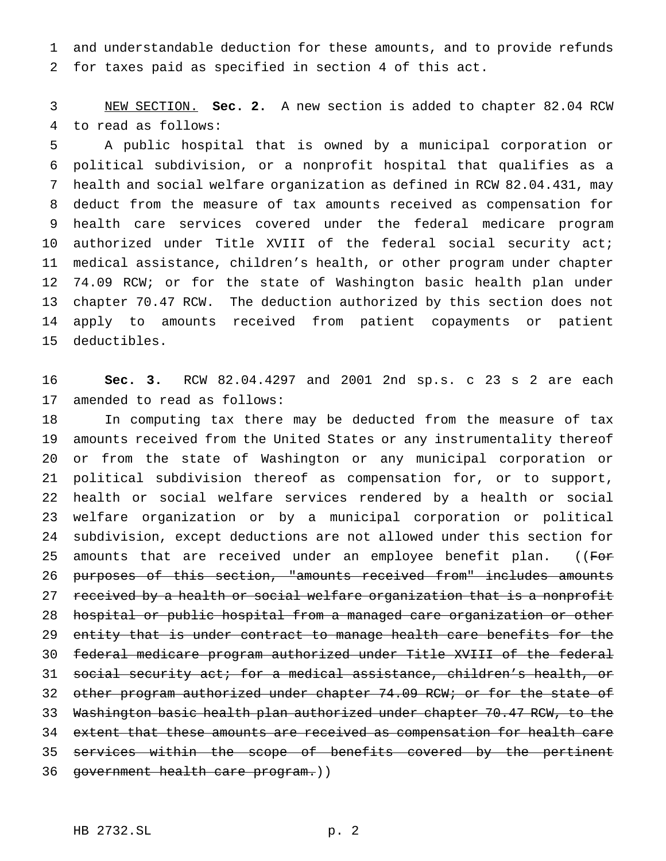and understandable deduction for these amounts, and to provide refunds for taxes paid as specified in section 4 of this act.

 NEW SECTION. **Sec. 2.** A new section is added to chapter 82.04 RCW to read as follows:

 A public hospital that is owned by a municipal corporation or political subdivision, or a nonprofit hospital that qualifies as a health and social welfare organization as defined in RCW 82.04.431, may deduct from the measure of tax amounts received as compensation for health care services covered under the federal medicare program authorized under Title XVIII of the federal social security act; medical assistance, children's health, or other program under chapter 12 74.09 RCW; or for the state of Washington basic health plan under chapter 70.47 RCW. The deduction authorized by this section does not apply to amounts received from patient copayments or patient deductibles.

 **Sec. 3.** RCW 82.04.4297 and 2001 2nd sp.s. c 23 s 2 are each amended to read as follows:

 In computing tax there may be deducted from the measure of tax amounts received from the United States or any instrumentality thereof or from the state of Washington or any municipal corporation or political subdivision thereof as compensation for, or to support, health or social welfare services rendered by a health or social welfare organization or by a municipal corporation or political subdivision, except deductions are not allowed under this section for 25 amounts that are received under an employee benefit plan. ((For purposes of this section, "amounts received from" includes amounts 27 received by a health or social welfare organization that is a nonprofit hospital or public hospital from a managed care organization or other 29 entity that is under contract to manage health care benefits for the federal medicare program authorized under Title XVIII of the federal social security act; for a medical assistance, children's health, or 32 other program authorized under chapter 74.09 RCW; or for the state of Washington basic health plan authorized under chapter 70.47 RCW, to the extent that these amounts are received as compensation for health care 35 services within the scope of benefits covered by the pertinent 36 government health care program.))